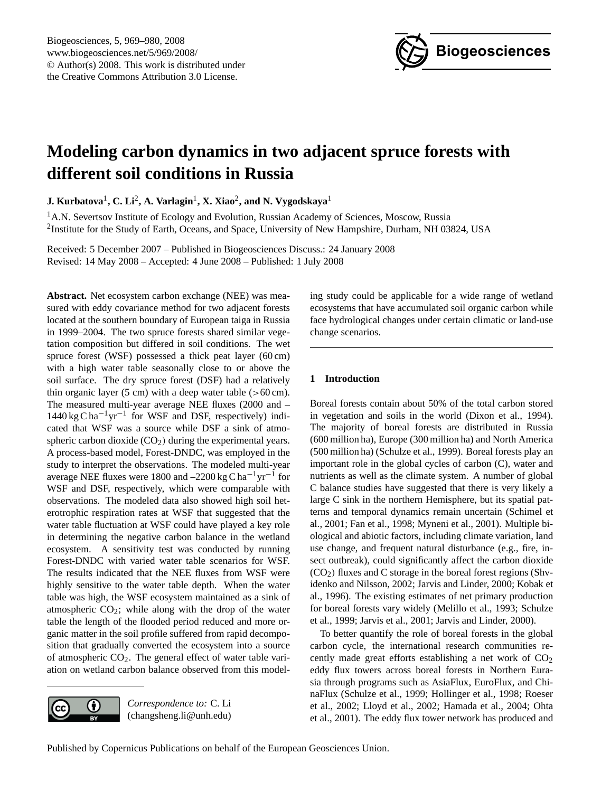

# <span id="page-0-0"></span>**Modeling carbon dynamics in two adjacent spruce forests with different soil conditions in Russia**

 ${\bf J.~Kurbatova}^{\rm 1},{\bf C.~Li}^{\rm 2},{\bf A.~Varlagin}^{\rm 1},{\bf X.~Xiao}^{\rm 2},{\bf and~N.~Vygodskaya}^{\rm 1}{\bf A.~Varlagin}^{\rm 1}{\bf A.~Varlagin}^{\rm 1}{\bf A.~Varlagin}^{\rm 1}{\bf A.~Varlagin}^{\rm 1}{\bf A.~Varlagin}^{\rm 1}{\bf A.~Varlagin}^{\rm 1}{\bf A.~Varlagin}^{\rm 1}{\bf A.~Varlagin}^{\rm 1}{\bf A.~Varlagin}^{\rm 1}{\bf A.~Varlagin}$ 

<sup>1</sup>A.N. Severtsov Institute of Ecology and Evolution, Russian Academy of Sciences, Moscow, Russia <sup>2</sup>Institute for the Study of Earth, Oceans, and Space, University of New Hampshire, Durham, NH 03824, USA

Received: 5 December 2007 – Published in Biogeosciences Discuss.: 24 January 2008 Revised: 14 May 2008 – Accepted: 4 June 2008 – Published: 1 July 2008

**Abstract.** Net ecosystem carbon exchange (NEE) was measured with eddy covariance method for two adjacent forests located at the southern boundary of European taiga in Russia in 1999–2004. The two spruce forests shared similar vegetation composition but differed in soil conditions. The wet spruce forest (WSF) possessed a thick peat layer (60 cm) with a high water table seasonally close to or above the soil surface. The dry spruce forest (DSF) had a relatively thin organic layer (5 cm) with a deep water table  $(>60 \text{ cm})$ . The measured multi-year average NEE fluxes (2000 and – 1440 kg C ha−1yr−<sup>1</sup> for WSF and DSF, respectively) indicated that WSF was a source while DSF a sink of atmospheric carbon dioxide  $(CO<sub>2</sub>)$  during the experimental years. A process-based model, Forest-DNDC, was employed in the study to interpret the observations. The modeled multi-year average NEE fluxes were 1800 and  $-2200 \text{ kg C} \text{ ha}^{-1} \text{yr}^{-1}$  for WSF and DSF, respectively, which were comparable with observations. The modeled data also showed high soil heterotrophic respiration rates at WSF that suggested that the water table fluctuation at WSF could have played a key role in determining the negative carbon balance in the wetland ecosystem. A sensitivity test was conducted by running Forest-DNDC with varied water table scenarios for WSF. The results indicated that the NEE fluxes from WSF were highly sensitive to the water table depth. When the water table was high, the WSF ecosystem maintained as a sink of atmospheric  $CO<sub>2</sub>$ ; while along with the drop of the water table the length of the flooded period reduced and more organic matter in the soil profile suffered from rapid decomposition that gradually converted the ecosystem into a source of atmospheric  $CO<sub>2</sub>$ . The general effect of water table variation on wetland carbon balance observed from this model-

G (cc

*Correspondence to:* C. Li (changsheng.li@unh.edu) ing study could be applicable for a wide range of wetland ecosystems that have accumulated soil organic carbon while face hydrological changes under certain climatic or land-use change scenarios.

## **1 Introduction**

Boreal forests contain about 50% of the total carbon stored in vegetation and soils in the world (Dixon et al., 1994). The majority of boreal forests are distributed in Russia (600 million ha), Europe (300 million ha) and North America (500 million ha) (Schulze et al., 1999). Boreal forests play an important role in the global cycles of carbon (C), water and nutrients as well as the climate system. A number of global C balance studies have suggested that there is very likely a large C sink in the northern Hemisphere, but its spatial patterns and temporal dynamics remain uncertain (Schimel et al., 2001; Fan et al., 1998; Myneni et al., 2001). Multiple biological and abiotic factors, including climate variation, land use change, and frequent natural disturbance (e.g., fire, insect outbreak), could significantly affect the carbon dioxide  $(CO<sub>2</sub>)$  fluxes and C storage in the boreal forest regions (Shvidenko and Nilsson, 2002; Jarvis and Linder, 2000; Kobak et al., 1996). The existing estimates of net primary production for boreal forests vary widely (Melillo et al., 1993; Schulze et al., 1999; Jarvis et al., 2001; Jarvis and Linder, 2000).

To better quantify the role of boreal forests in the global carbon cycle, the international research communities recently made great efforts establishing a net work of  $CO<sub>2</sub>$ eddy flux towers across boreal forests in Northern Eurasia through programs such as AsiaFlux, EuroFlux, and ChinaFlux (Schulze et al., 1999; Hollinger et al., 1998; Roeser et al., 2002; Lloyd et al., 2002; Hamada et al., 2004; Ohta et al., 2001). The eddy flux tower network has produced and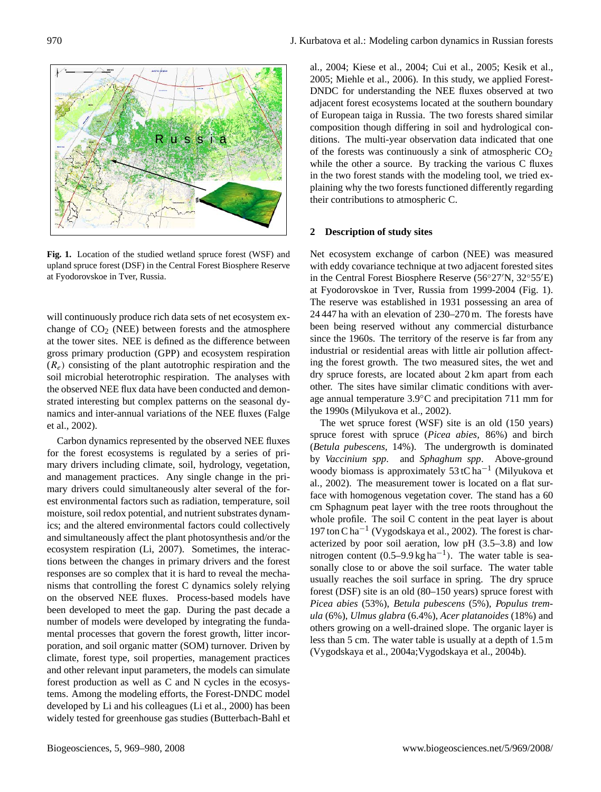

will continuously produce rich data sets of net ecosystem exchange of  $CO<sub>2</sub>$  (NEE) between forests and the atmosphere at the tower sites. NEE is defined as the difference between gross primary production (GPP) and ecosystem respiration  $(R_e)$  consisting of the plant autotrophic respiration and the soil microbial heterotrophic respiration. The analyses with the observed NEE flux data have been conducted and demonstrated interesting but complex patterns on the seasonal dynamics and inter-annual variations of the NEE fluxes (Falge et al., 2002).

Carbon dynamics represented by the observed NEE fluxes for the forest ecosystems is regulated by a series of primary drivers including climate, soil, hydrology, vegetation, and management practices. Any single change in the primary drivers could simultaneously alter several of the forest environmental factors such as radiation, temperature, soil moisture, soil redox potential, and nutrient substrates dynamics; and the altered environmental factors could collectively and simultaneously affect the plant photosynthesis and/or the ecosystem respiration (Li, 2007). Sometimes, the interactions between the changes in primary drivers and the forest responses are so complex that it is hard to reveal the mechanisms that controlling the forest C dynamics solely relying on the observed NEE fluxes. Process-based models have been developed to meet the gap. During the past decade a number of models were developed by integrating the fundamental processes that govern the forest growth, litter incorporation, and soil organic matter (SOM) turnover. Driven by climate, forest type, soil properties, management practices and other relevant input parameters, the models can simulate forest production as well as C and N cycles in the ecosystems. Among the modeling efforts, the Forest-DNDC model developed by Li and his colleagues (Li et al., 2000) has been widely tested for greenhouse gas studies (Butterbach-Bahl et al., 2004; Kiese et al., 2004; Cui et al., 2005; Kesik et al., 2005; Miehle et al., 2006). In this study, we applied Forest-DNDC for understanding the NEE fluxes observed at two adjacent forest ecosystems located at the southern boundary of European taiga in Russia. The two forests shared similar composition though differing in soil and hydrological conditions. The multi-year observation data indicated that one of the forests was continuously a sink of atmospheric  $CO<sub>2</sub>$ while the other a source. By tracking the various C fluxes in the two forest stands with the modeling tool, we tried explaining why the two forests functioned differently regarding their contributions to atmospheric C.

#### **2 Description of study sites**

Net ecosystem exchange of carbon (NEE) was measured with eddy covariance technique at two adjacent forested sites in the Central Forest Biosphere Reserve ( $56°27'N$ ,  $32°55'E$ ) at Fyodorovskoe in Tver, Russia from 1999-2004 (Fig. 1). The reserve was established in 1931 possessing an area of 24 447 ha with an elevation of 230–270 m. The forests have been being reserved without any commercial disturbance since the 1960s. The territory of the reserve is far from any industrial or residential areas with little air pollution affecting the forest growth. The two measured sites, the wet and dry spruce forests, are located about 2 km apart from each other. The sites have similar climatic conditions with average annual temperature 3.9◦C and precipitation 711 mm for the 1990s (Milyukova et al., 2002).

The wet spruce forest (WSF) site is an old (150 years) spruce forest with spruce (*Picea abies,* 86%) and birch (*Betula pubescens,* 14%). The undergrowth is dominated by *Vaccinium spp*. and *Sphaghum spp*. Above-ground woody biomass is approximately 53 tC ha−<sup>1</sup> (Milyukova et al., 2002). The measurement tower is located on a flat surface with homogenous vegetation cover. The stand has a 60 cm Sphagnum peat layer with the tree roots throughout the whole profile. The soil C content in the peat layer is about 197 ton C ha−<sup>1</sup> (Vygodskaya et al., 2002). The forest is characterized by poor soil aeration, low pH (3.5–3.8) and low nitrogen content  $(0.5-9.9 \text{ kg ha}^{-1})$ . The water table is seasonally close to or above the soil surface. The water table usually reaches the soil surface in spring. The dry spruce forest (DSF) site is an old (80–150 years) spruce forest with *Picea abies* (53%), *Betula pubescens* (5%), *Populus tremula* (6%), *Ulmus glabra* (6.4%), *Acer platanoides* (18%) and others growing on a well-drained slope. The organic layer is less than 5 cm. The water table is usually at a depth of 1.5 m (Vygodskaya et al., 2004a;Vygodskaya et al., 2004b).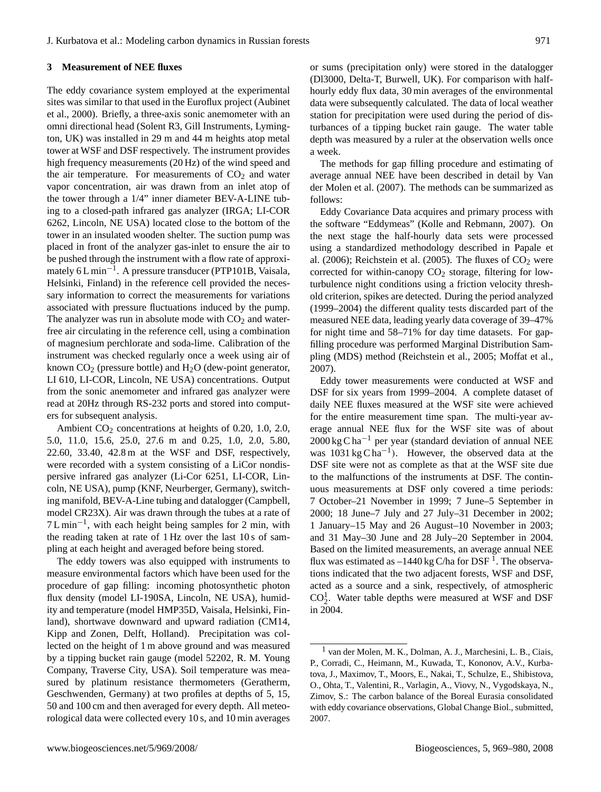### **3 Measurement of NEE fluxes**

The eddy covariance system employed at the experimental sites was similar to that used in the Euroflux project (Aubinet et al., 2000). Briefly, a three-axis sonic anemometer with an omni directional head (Solent R3, Gill Instruments, Lymington, UK) was installed in 29 m and 44 m heights atop metal tower at WSF and DSF respectively. The instrument provides high frequency measurements (20 Hz) of the wind speed and the air temperature. For measurements of  $CO<sub>2</sub>$  and water vapor concentration, air was drawn from an inlet atop of the tower through a 1/4" inner diameter BEV-A-LINE tubing to a closed-path infrared gas analyzer (IRGA; LI-COR 6262, Lincoln, NE USA) located close to the bottom of the tower in an insulated wooden shelter. The suction pump was placed in front of the analyzer gas-inlet to ensure the air to be pushed through the instrument with a flow rate of approximately 6 L min−<sup>1</sup> . A pressure transducer (PTP101B, Vaisala, Helsinki, Finland) in the reference cell provided the necessary information to correct the measurements for variations associated with pressure fluctuations induced by the pump. The analyzer was run in absolute mode with  $CO<sub>2</sub>$  and waterfree air circulating in the reference cell, using a combination of magnesium perchlorate and soda-lime. Calibration of the instrument was checked regularly once a week using air of known  $CO<sub>2</sub>$  (pressure bottle) and  $H<sub>2</sub>O$  (dew-point generator, LI 610, LI-COR, Lincoln, NE USA) concentrations. Output from the sonic anemometer and infrared gas analyzer were read at 20Hz through RS-232 ports and stored into computers for subsequent analysis.

Ambient CO<sub>2</sub> concentrations at heights of 0.20, 1.0, 2.0, 5.0, 11.0, 15.6, 25.0, 27.6 m and 0.25, 1.0, 2.0, 5.80, 22.60, 33.40, 42.8 m at the WSF and DSF, respectively, were recorded with a system consisting of a LiCor nondispersive infrared gas analyzer (Li-Cor 6251, LI-COR, Lincoln, NE USA), pump (KNF, Neurberger, Germany), switching manifold, BEV-A-Line tubing and datalogger (Campbell, model CR23X). Air was drawn through the tubes at a rate of 7 L min<sup>-1</sup>, with each height being samples for 2 min, with the reading taken at rate of 1 Hz over the last 10 s of sampling at each height and averaged before being stored.

The eddy towers was also equipped with instruments to measure environmental factors which have been used for the procedure of gap filling: incoming photosynthetic photon flux density (model LI-190SA, Lincoln, NE USA), humidity and temperature (model HMP35D, Vaisala, Helsinki, Finland), shortwave downward and upward radiation (CM14, Kipp and Zonen, Delft, Holland). Precipitation was collected on the height of 1 m above ground and was measured by a tipping bucket rain gauge (model 52202, R. M. Young Company, Traverse City, USA). Soil temperature was measured by platinum resistance thermometers (Geratherm, Geschwenden, Germany) at two profiles at depths of 5, 15, 50 and 100 cm and then averaged for every depth. All meteorological data were collected every 10 s, and 10 min averages or sums (precipitation only) were stored in the datalogger (Dl3000, Delta-T, Burwell, UK). For comparison with halfhourly eddy flux data, 30 min averages of the environmental data were subsequently calculated. The data of local weather station for precipitation were used during the period of disturbances of a tipping bucket rain gauge. The water table depth was measured by a ruler at the observation wells once a week.

The methods for gap filling procedure and estimating of average annual NEE have been described in detail by Van der Molen et al. (2007). The methods can be summarized as follows:

Eddy Covariance Data acquires and primary process with the software "Eddymeas" (Kolle and Rebmann, 2007). On the next stage the half-hourly data sets were processed using a standardized methodology described in Papale et al. (2006); Reichstein et al. (2005). The fluxes of  $CO<sub>2</sub>$  were corrected for within-canopy  $CO<sub>2</sub>$  storage, filtering for lowturbulence night conditions using a friction velocity threshold criterion, spikes are detected. During the period analyzed (1999–2004) the different quality tests discarded part of the measured NEE data, leading yearly data coverage of 39–47% for night time and 58–71% for day time datasets. For gapfilling procedure was performed Marginal Distribution Sampling (MDS) method (Reichstein et al., 2005; Moffat et al., 2007).

Eddy tower measurements were conducted at WSF and DSF for six years from 1999–2004. A complete dataset of daily NEE fluxes measured at the WSF site were achieved for the entire measurement time span. The multi-year average annual NEE flux for the WSF site was of about  $2000 \text{ kg C} \text{ ha}^{-1}$  per year (standard deviation of annual NEE was  $1031 \text{ kg C} \cdot \text{ha}^{-1}$ ). However, the observed data at the DSF site were not as complete as that at the WSF site due to the malfunctions of the instruments at DSF. The continuous measurements at DSF only covered a time periods: 7 October–21 November in 1999; 7 June–5 September in 2000; 18 June–7 July and 27 July–31 December in 2002; 1 January–15 May and 26 August–10 November in 2003; and 31 May–30 June and 28 July–20 September in 2004. Based on the limited measurements, an average annual NEE flux was estimated as  $-1440$  $-1440$  $-1440$  kg C/ha for DSF<sup>1</sup>. The observations indicated that the two adjacent forests, WSF and DSF, acted as a source and a sink, respectively, of atmospheric  $CO<sub>2</sub><sup>1</sup>$ . Water table depths were measured at WSF and DSF in 2004.

<span id="page-2-0"></span><sup>1</sup> van der Molen, M. K., Dolman, A. J., Marchesini, L. B., Ciais, P., Corradi, C., Heimann, M., Kuwada, T., Kononov, A.V., Kurbatova, J., Maximov, T., Moors, E., Nakai, T., Schulze, E., Shibistova, O., Ohta, T., Valentini, R., Varlagin, A., Viovy, N., Vygodskaya, N., Zimov, S.: The carbon balance of the Boreal Eurasia consolidated with eddy covariance observations, Global Change Biol., submitted, 2007.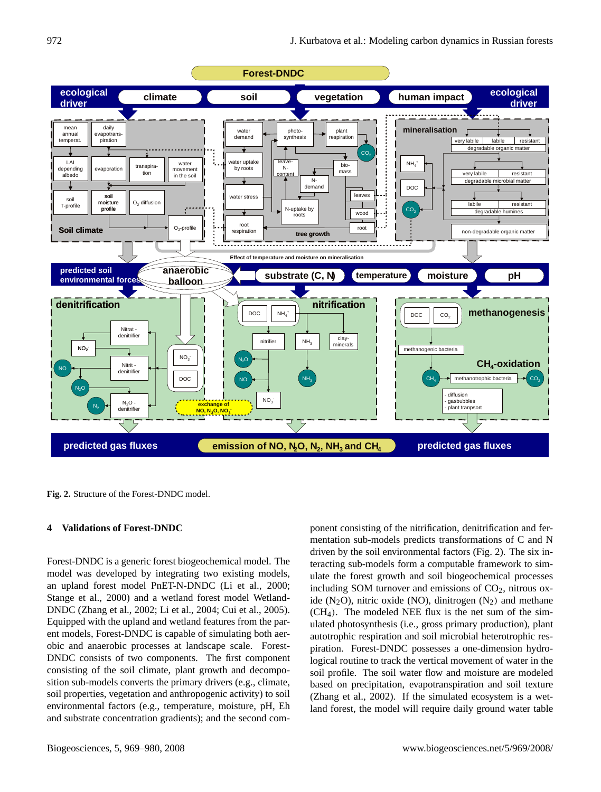

**Fig. 2.** Structure of the Forest-DNDC model.

## **4 Validations of Forest-DNDC**

Forest-DNDC is a generic forest biogeochemical model. The model was developed by integrating two existing models, an upland forest model PnET-N-DNDC (Li et al., 2000; Stange et al., 2000) and a wetland forest model Wetland-DNDC (Zhang et al., 2002; Li et al., 2004; Cui et al., 2005). Equipped with the upland and wetland features from the parent models, Forest-DNDC is capable of simulating both aerobic and anaerobic processes at landscape scale. Forest-DNDC consists of two components. The first component consisting of the soil climate, plant growth and decomposition sub-models converts the primary drivers (e.g., climate, soil properties, vegetation and anthropogenic activity) to soil environmental factors (e.g., temperature, moisture, pH, Eh and substrate concentration gradients); and the second component consisting of the nitrification, denitrification and fermentation sub-models predicts transformations of C and N driven by the soil environmental factors (Fig. 2). The six interacting sub-models form a computable framework to simulate the forest growth and soil biogeochemical processes including SOM turnover and emissions of  $CO<sub>2</sub>$ , nitrous oxide (N<sub>2</sub>O), nitric oxide (NO), dinitrogen (N<sub>2</sub>) and methane  $(CH<sub>4</sub>)$ . The modeled NEE flux is the net sum of the simulated photosynthesis (i.e., gross primary production), plant autotrophic respiration and soil microbial heterotrophic respiration. Forest-DNDC possesses a one-dimension hydrological routine to track the vertical movement of water in the soil profile. The soil water flow and moisture are modeled based on precipitation, evapotranspiration and soil texture (Zhang et al., 2002). If the simulated ecosystem is a wetland forest, the model will require daily ground water table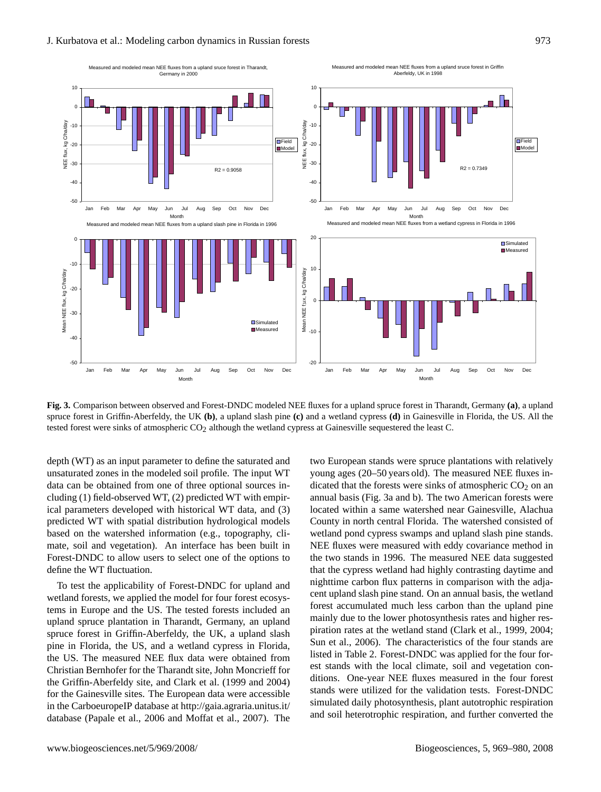

**Fig. 3.** Comparison between observed and Forest-DNDC modeled NEE fluxes for a upland spruce forest in Tharandt, Germany **(a)**, a upland spruce forest in Griffin-Aberfeldy, the UK **(b)**, a upland slash pine **(c)** and a wetland cypress **(d)** in Gainesville in Florida, the US. All the tested forest were sinks of atmospheric  $CO<sub>2</sub>$  although the wetland cypress at Gainesville sequestered the least C.

depth (WT) as an input parameter to define the saturated and unsaturated zones in the modeled soil profile. The input WT data can be obtained from one of three optional sources including (1) field-observed WT, (2) predicted WT with empirical parameters developed with historical WT data, and (3) predicted WT with spatial distribution hydrological models based on the watershed information (e.g., topography, climate, soil and vegetation). An interface has been built in Forest-DNDC to allow users to select one of the options to define the WT fluctuation.

To test the applicability of Forest-DNDC for upland and wetland forests, we applied the model for four forest ecosystems in Europe and the US. The tested forests included an upland spruce plantation in Tharandt, Germany, an upland spruce forest in Griffin-Aberfeldy, the UK, a upland slash pine in Florida, the US, and a wetland cypress in Florida, the US. The measured NEE flux data were obtained from Christian Bernhofer for the Tharandt site, John Moncrieff for the Griffin-Aberfeldy site, and Clark et al. (1999 and 2004) for the Gainesville sites. The European data were accessible in the CarboeuropeIP database at [http://gaia.agraria.unitus.it/](http://gaia.agraria.unitus.it/database) [database](http://gaia.agraria.unitus.it/database) (Papale et al., 2006 and Moffat et al., 2007). The two European stands were spruce plantations with relatively young ages (20–50 years old). The measured NEE fluxes indicated that the forests were sinks of atmospheric  $CO<sub>2</sub>$  on an annual basis (Fig. 3a and b). The two American forests were located within a same watershed near Gainesville, Alachua County in north central Florida. The watershed consisted of wetland pond cypress swamps and upland slash pine stands. NEE fluxes were measured with eddy covariance method in the two stands in 1996. The measured NEE data suggested that the cypress wetland had highly contrasting daytime and nighttime carbon flux patterns in comparison with the adjacent upland slash pine stand. On an annual basis, the wetland forest accumulated much less carbon than the upland pine mainly due to the lower photosynthesis rates and higher respiration rates at the wetland stand (Clark et al., 1999, 2004; Sun et al., 2006). The characteristics of the four stands are listed in Table 2. Forest-DNDC was applied for the four forest stands with the local climate, soil and vegetation conditions. One-year NEE fluxes measured in the four forest stands were utilized for the validation tests. Forest-DNDC simulated daily photosynthesis, plant autotrophic respiration and soil heterotrophic respiration, and further converted the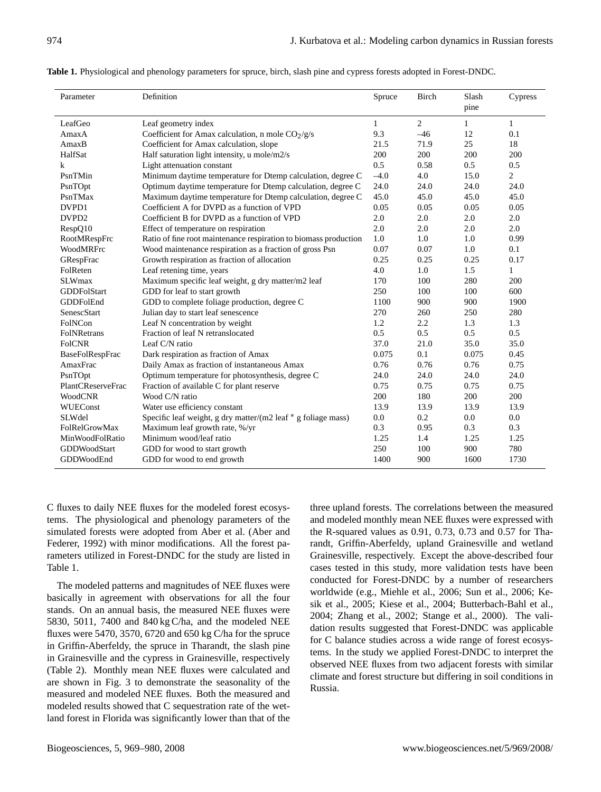| Parameter          | Definition                                                       | Spruce       | <b>Birch</b>   | Slash<br>pine | Cypress        |
|--------------------|------------------------------------------------------------------|--------------|----------------|---------------|----------------|
| LeafGeo            | Leaf geometry index                                              | $\mathbf{1}$ | $\overline{2}$ | $\mathbf{1}$  | $\mathbf{1}$   |
| AmaxA              | Coefficient for Amax calculation, n mole $CO2/g/s$               | 9.3          | $-46$          | 12            | 0.1            |
| AmaxB              | Coefficient for Amax calculation, slope                          | 21.5         | 71.9           | 25            | 18             |
| HalfSat            | Half saturation light intensity, u mole/m2/s                     | 200          | 200            | 200           | 200            |
| k                  | Light attenuation constant                                       | 0.5          | 0.58           | 0.5           | 0.5            |
| PsnTMin            | Minimum daytime temperature for Dtemp calculation, degree C      | $-4.0$       | 4.0            | 15.0          | $\overline{2}$ |
| PsnTOpt            | Optimum daytime temperature for Dtemp calculation, degree C      | 24.0         | 24.0           | 24.0          | 24.0           |
| PsnTMax            | Maximum daytime temperature for Dtemp calculation, degree C      | 45.0         | 45.0           | 45.0          | 45.0           |
| DVPD1              | Coefficient A for DVPD as a function of VPD                      | 0.05         | 0.05           | 0.05          | 0.05           |
| DVPD <sub>2</sub>  | Coefficient B for DVPD as a function of VPD                      | 2.0          | 2.0            | 2.0           | 2.0            |
| RespQ10            | Effect of temperature on respiration                             | 2.0          | 2.0            | 2.0           | 2.0            |
| RootMRespFrc       | Ratio of fine root maintenance respiration to biomass production | 1.0          | 1.0            | 1.0           | 0.99           |
| WoodMRFrc          | Wood maintenance respiration as a fraction of gross Psn          | 0.07         | 0.07           | 1.0           | 0.1            |
| GRespFrac          | Growth respiration as fraction of allocation                     | 0.25         | 0.25           | 0.25          | 0.17           |
| FolReten           | Leaf retening time, years                                        | 4.0          | 1.0            | 1.5           | $\mathbf{1}$   |
| <b>SLWmax</b>      | Maximum specific leaf weight, g dry matter/m2 leaf               | 170          | 100            | 280           | 200            |
| <b>GDDFolStart</b> | GDD for leaf to start growth                                     | 250          | 100            | 100           | 600            |
| GDDFolEnd          | GDD to complete foliage production, degree C                     | 1100         | 900            | 900           | 1900           |
| <b>SenescStart</b> | Julian day to start leaf senescence                              | 270          | 260            | 250           | 280            |
| FolNCon            | Leaf N concentration by weight                                   | 1.2          | 2.2            | 1.3           | 1.3            |
| FolNRetrans        | Fraction of leaf N retranslocated                                | 0.5          | 0.5            | 0.5           | 0.5            |
| <b>FOICNR</b>      | Leaf C/N ratio                                                   | 37.0         | 21.0           | 35.0          | 35.0           |
| BaseFolRespFrac    | Dark respiration as fraction of Amax                             | 0.075        | 0.1            | 0.075         | 0.45           |
| AmaxFrac           | Daily Amax as fraction of instantaneous Amax                     | 0.76         | 0.76           | 0.76          | 0.75           |
| PsnTOpt            | Optimum temperature for photosynthesis, degree C                 | 24.0         | 24.0           | 24.0          | 24.0           |
| PlantCReserveFrac  | Fraction of available C for plant reserve                        | 0.75         | 0.75           | 0.75          | 0.75           |
| <b>WoodCNR</b>     | Wood C/N ratio                                                   | 200          | 180            | 200           | 200            |
| <b>WUEConst</b>    | Water use efficiency constant                                    | 13.9         | 13.9           | 13.9          | 13.9           |
| SLWdel             | Specific leaf weight, g dry matter/(m2 leaf * g foliage mass)    | $0.0\,$      | 0.2            | 0.0           | $0.0\,$        |
| FolRelGrowMax      | Maximum leaf growth rate, %/yr                                   | 0.3          | 0.95           | 0.3           | 0.3            |
| MinWoodFolRatio    | Minimum wood/leaf ratio                                          | 1.25         | 1.4            | 1.25          | 1.25           |
| GDDWoodStart       | GDD for wood to start growth                                     | 250          | 100            | 900           | 780            |
| GDDWoodEnd         | GDD for wood to end growth                                       | 1400         | 900            | 1600          | 1730           |

**Table 1.** Physiological and phenology parameters for spruce, birch, slash pine and cypress forests adopted in Forest-DNDC.

C fluxes to daily NEE fluxes for the modeled forest ecosystems. The physiological and phenology parameters of the simulated forests were adopted from Aber et al. (Aber and Federer, 1992) with minor modifications. All the forest parameters utilized in Forest-DNDC for the study are listed in Table 1.

The modeled patterns and magnitudes of NEE fluxes were basically in agreement with observations for all the four stands. On an annual basis, the measured NEE fluxes were 5830, 5011, 7400 and 840 kg C/ha, and the modeled NEE fluxes were 5470, 3570, 6720 and 650 kg C/ha for the spruce in Griffin-Aberfeldy, the spruce in Tharandt, the slash pine in Grainesville and the cypress in Grainesville, respectively (Table 2). Monthly mean NEE fluxes were calculated and are shown in Fig. 3 to demonstrate the seasonality of the measured and modeled NEE fluxes. Both the measured and modeled results showed that C sequestration rate of the wetland forest in Florida was significantly lower than that of the three upland forests. The correlations between the measured and modeled monthly mean NEE fluxes were expressed with the R-squared values as 0.91, 0.73, 0.73 and 0.57 for Tharandt, Griffin-Aberfeldy, upland Grainesville and wetland Grainesville, respectively. Except the above-described four cases tested in this study, more validation tests have been conducted for Forest-DNDC by a number of researchers worldwide (e.g., Miehle et al., 2006; Sun et al., 2006; Kesik et al., 2005; Kiese et al., 2004; Butterbach-Bahl et al., 2004; Zhang et al., 2002; Stange et al., 2000). The validation results suggested that Forest-DNDC was applicable for C balance studies across a wide range of forest ecosystems. In the study we applied Forest-DNDC to interpret the observed NEE fluxes from two adjacent forests with similar climate and forest structure but differing in soil conditions in Russia.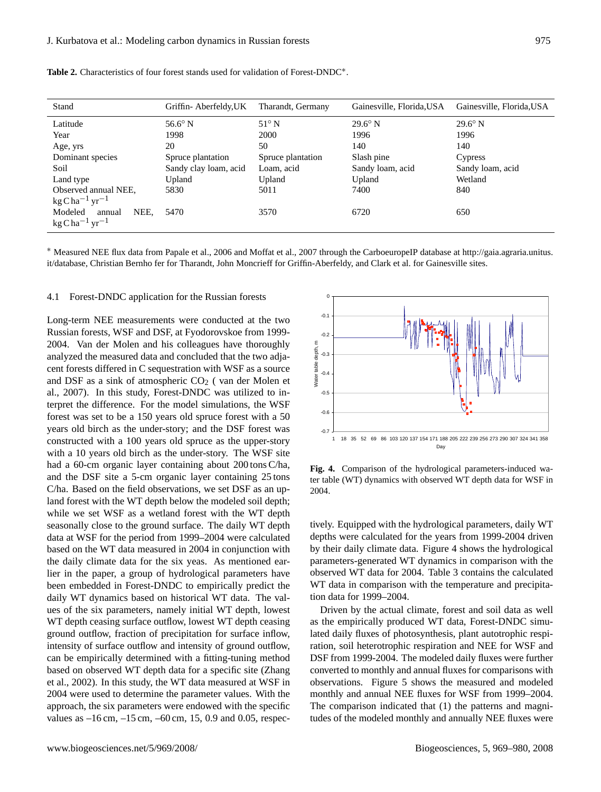| Stand                                                 | Griffin-Aberfeldy,UK  | Gainesville, Florida, USA<br>Tharandt, Germany |                  | Gainesville, Florida, USA |  |
|-------------------------------------------------------|-----------------------|------------------------------------------------|------------------|---------------------------|--|
| Latitude                                              | $56.6^\circ$ N        | $51^{\circ}$ N<br>$29.6^\circ$ N               |                  | $29.6^\circ$ N            |  |
| Year                                                  | 1998                  | 2000                                           | 1996             | 1996                      |  |
| Age, yrs                                              | 20                    | 50                                             | 140              | 140                       |  |
| Dominant species                                      | Spruce plantation     | Spruce plantation                              | Slash pine       | <b>Cypress</b>            |  |
| Soil                                                  | Sandy clay loam, acid | Loam, acid                                     | Sandy loam, acid | Sandy loam, acid          |  |
| Land type                                             | Upland                | Upland                                         | Upland           | Wetland                   |  |
| Observed annual NEE,                                  | 5830                  | 5011                                           | 7400             | 840                       |  |
| $kgC$ ha <sup>-1</sup> yr <sup>-1</sup>               |                       |                                                |                  |                           |  |
| Modeled<br>NEE.<br>annual                             | 5470                  | 3570                                           | 6720             | 650                       |  |
| $\text{kg}\text{C}$ ha <sup>-1</sup> yr <sup>-1</sup> |                       |                                                |                  |                           |  |

Table 2. Characteristics of four forest stands used for validation of Forest-DNDC<sup>\*</sup>.

<sup>∗</sup> Measured NEE flux data from Papale et al., 2006 and Moffat et al., 2007 through the CarboeuropeIP database at [http://gaia.agraria.unitus.](http://gaia.agraria.unitus.it/database) [it/database,](http://gaia.agraria.unitus.it/database) Christian Bernho fer for Tharandt, John Moncrieff for Griffin-Aberfeldy, and Clark et al. for Gainesville sites.

#### 4.1 Forest-DNDC application for the Russian forests

Long-term NEE measurements were conducted at the two Russian forests, WSF and DSF, at Fyodorovskoe from 1999- 2004. Van der Molen and his colleagues have thoroughly analyzed the measured data and concluded that the two adjacent forests differed in C sequestration with WSF as a source and DSF as a sink of atmospheric  $CO<sub>2</sub>$  (van der Molen et al., 2007). In this study, Forest-DNDC was utilized to interpret the difference. For the model simulations, the WSF forest was set to be a 150 years old spruce forest with a 50 years old birch as the under-story; and the DSF forest was constructed with a 100 years old spruce as the upper-story with a 10 years old birch as the under-story. The WSF site had a 60-cm organic layer containing about 200 tons C/ha, and the DSF site a 5-cm organic layer containing 25 tons C/ha. Based on the field observations, we set DSF as an upland forest with the WT depth below the modeled soil depth; while we set WSF as a wetland forest with the WT depth seasonally close to the ground surface. The daily WT depth data at WSF for the period from 1999–2004 were calculated based on the WT data measured in 2004 in conjunction with the daily climate data for the six yeas. As mentioned earlier in the paper, a group of hydrological parameters have been embedded in Forest-DNDC to empirically predict the daily WT dynamics based on historical WT data. The values of the six parameters, namely initial WT depth, lowest WT depth ceasing surface outflow, lowest WT depth ceasing ground outflow, fraction of precipitation for surface inflow, intensity of surface outflow and intensity of ground outflow, can be empirically determined with a fitting-tuning method based on observed WT depth data for a specific site (Zhang et al., 2002). In this study, the WT data measured at WSF in 2004 were used to determine the parameter values. With the approach, the six parameters were endowed with the specific values as –16 cm, –15 cm, –60 cm, 15, 0.9 and 0.05, respec-



**Fig. 4.** Comparison of the hydrological parameters-induced water table (WT) dynamics with observed WT depth data for WSF in 2004.

tively. Equipped with the hydrological parameters, daily WT depths were calculated for the years from 1999-2004 driven by their daily climate data. Figure 4 shows the hydrological parameters-generated WT dynamics in comparison with the observed WT data for 2004. Table 3 contains the calculated WT data in comparison with the temperature and precipitation data for 1999–2004.

Driven by the actual climate, forest and soil data as well as the empirically produced WT data, Forest-DNDC simulated daily fluxes of photosynthesis, plant autotrophic respiration, soil heterotrophic respiration and NEE for WSF and DSF from 1999-2004. The modeled daily fluxes were further converted to monthly and annual fluxes for comparisons with observations. Figure 5 shows the measured and modeled monthly and annual NEE fluxes for WSF from 1999–2004. The comparison indicated that (1) the patterns and magnitudes of the modeled monthly and annually NEE fluxes were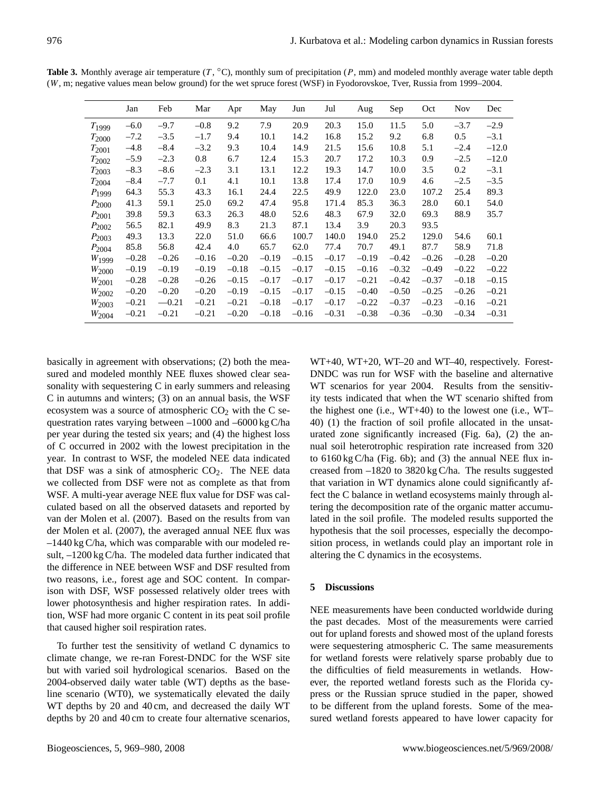|            | Jan     | Feb     | Mar     | Apr     | May     | Jun     | Jul     | Aug     | Sep     | Oct     | <b>Nov</b> | Dec     |
|------------|---------|---------|---------|---------|---------|---------|---------|---------|---------|---------|------------|---------|
| $T_{1999}$ | $-6.0$  | $-9.7$  | $-0.8$  | 9.2     | 7.9     | 20.9    | 20.3    | 15.0    | 11.5    | 5.0     | $-3.7$     | $-2.9$  |
| $T_{2000}$ | $-7.2$  | $-3.5$  | $-1.7$  | 9.4     | 10.1    | 14.2    | 16.8    | 15.2    | 9.2     | 6.8     | 0.5        | $-3.1$  |
| $T_{2001}$ | $-4.8$  | $-8.4$  | $-3.2$  | 9.3     | 10.4    | 14.9    | 21.5    | 15.6    | 10.8    | 5.1     | $-2.4$     | $-12.0$ |
| $T_{2002}$ | $-5.9$  | $-2.3$  | 0.8     | 6.7     | 12.4    | 15.3    | 20.7    | 17.2    | 10.3    | 0.9     | $-2.5$     | $-12.0$ |
| $T_{2003}$ | $-8.3$  | $-8.6$  | $-2.3$  | 3.1     | 13.1    | 12.2    | 19.3    | 14.7    | 10.0    | 3.5     | 0.2        | $-3.1$  |
| $T_{2004}$ | $-8.4$  | $-7.7$  | 0.1     | 4.1     | 10.1    | 13.8    | 17.4    | 17.0    | 10.9    | 4.6     | $-2.5$     | $-3.5$  |
| $P_{1999}$ | 64.3    | 55.3    | 43.3    | 16.1    | 24.4    | 22.5    | 49.9    | 122.0   | 23.0    | 107.2   | 25.4       | 89.3    |
| $P_{2000}$ | 41.3    | 59.1    | 25.0    | 69.2    | 47.4    | 95.8    | 171.4   | 85.3    | 36.3    | 28.0    | 60.1       | 54.0    |
| $P_{2001}$ | 39.8    | 59.3    | 63.3    | 26.3    | 48.0    | 52.6    | 48.3    | 67.9    | 32.0    | 69.3    | 88.9       | 35.7    |
| $P_{2002}$ | 56.5    | 82.1    | 49.9    | 8.3     | 21.3    | 87.1    | 13.4    | 3.9     | 20.3    | 93.5    |            |         |
| $P_{2003}$ | 49.3    | 13.3    | 22.0    | 51.0    | 66.6    | 100.7   | 140.0   | 194.0   | 25.2    | 129.0   | 54.6       | 60.1    |
| $P_{2004}$ | 85.8    | 56.8    | 42.4    | 4.0     | 65.7    | 62.0    | 77.4    | 70.7    | 49.1    | 87.7    | 58.9       | 71.8    |
| $W_{1999}$ | $-0.28$ | $-0.26$ | $-0.16$ | $-0.20$ | $-0.19$ | $-0.15$ | $-0.17$ | $-0.19$ | $-0.42$ | $-0.26$ | $-0.28$    | $-0.20$ |
| $W_{2000}$ | $-0.19$ | $-0.19$ | $-0.19$ | $-0.18$ | $-0.15$ | $-0.17$ | $-0.15$ | $-0.16$ | $-0.32$ | $-0.49$ | $-0.22$    | $-0.22$ |
| $W_{2001}$ | $-0.28$ | $-0.28$ | $-0.26$ | $-0.15$ | $-0.17$ | $-0.17$ | $-0.17$ | $-0.21$ | $-0.42$ | $-0.37$ | $-0.18$    | $-0.15$ |
| $W_{2002}$ | $-0.20$ | $-0.20$ | $-0.20$ | $-0.19$ | $-0.15$ | $-0.17$ | $-0.15$ | $-0.40$ | $-0.50$ | $-0.25$ | $-0.26$    | $-0.21$ |
| $W_{2003}$ | $-0.21$ | $-0.21$ | $-0.21$ | $-0.21$ | $-0.18$ | $-0.17$ | $-0.17$ | $-0.22$ | $-0.37$ | $-0.23$ | $-0.16$    | $-0.21$ |
| $W_{2004}$ | $-0.21$ | $-0.21$ | $-0.21$ | $-0.20$ | $-0.18$ | $-0.16$ | $-0.31$ | $-0.38$ | $-0.36$ | $-0.30$ | $-0.34$    | $-0.31$ |

**Table 3.** Monthly average air temperature  $(T, {}^{\circ}C)$ , monthly sum of precipitation  $(P, mm)$  and modeled monthly average water table depth (W, m; negative values mean below ground) for the wet spruce forest (WSF) in Fyodorovskoe, Tver, Russia from 1999–2004.

basically in agreement with observations; (2) both the measured and modeled monthly NEE fluxes showed clear seasonality with sequestering C in early summers and releasing C in autumns and winters; (3) on an annual basis, the WSF ecosystem was a source of atmospheric  $CO<sub>2</sub>$  with the C sequestration rates varying between –1000 and –6000 kg C/ha per year during the tested six years; and (4) the highest loss of C occurred in 2002 with the lowest precipitation in the year. In contrast to WSF, the modeled NEE data indicated that DSF was a sink of atmospheric  $CO<sub>2</sub>$ . The NEE data we collected from DSF were not as complete as that from WSF. A multi-year average NEE flux value for DSF was calculated based on all the observed datasets and reported by van der Molen et al. (2007). Based on the results from van der Molen et al. (2007), the averaged annual NEE flux was –1440 kg C/ha, which was comparable with our modeled result, –1200 kg C/ha. The modeled data further indicated that the difference in NEE between WSF and DSF resulted from two reasons, i.e., forest age and SOC content. In comparison with DSF, WSF possessed relatively older trees with lower photosynthesis and higher respiration rates. In addition, WSF had more organic C content in its peat soil profile that caused higher soil respiration rates.

To further test the sensitivity of wetland C dynamics to climate change, we re-ran Forest-DNDC for the WSF site but with varied soil hydrological scenarios. Based on the 2004-observed daily water table (WT) depths as the baseline scenario (WT0), we systematically elevated the daily WT depths by 20 and 40 cm, and decreased the daily WT depths by 20 and 40 cm to create four alternative scenarios,

WT+40, WT+20, WT–20 and WT–40, respectively. Forest-DNDC was run for WSF with the baseline and alternative WT scenarios for year 2004. Results from the sensitivity tests indicated that when the WT scenario shifted from the highest one (i.e., WT+40) to the lowest one (i.e., WT– 40) (1) the fraction of soil profile allocated in the unsaturated zone significantly increased (Fig. 6a), (2) the annual soil heterotrophic respiration rate increased from 320 to 6160 kg C/ha (Fig. 6b); and (3) the annual NEE flux increased from –1820 to 3820 kg C/ha. The results suggested that variation in WT dynamics alone could significantly affect the C balance in wetland ecosystems mainly through altering the decomposition rate of the organic matter accumulated in the soil profile. The modeled results supported the hypothesis that the soil processes, especially the decomposition process, in wetlands could play an important role in altering the C dynamics in the ecosystems.

## **5 Discussions**

NEE measurements have been conducted worldwide during the past decades. Most of the measurements were carried out for upland forests and showed most of the upland forests were sequestering atmospheric C. The same measurements for wetland forests were relatively sparse probably due to the difficulties of field measurements in wetlands. However, the reported wetland forests such as the Florida cypress or the Russian spruce studied in the paper, showed to be different from the upland forests. Some of the measured wetland forests appeared to have lower capacity for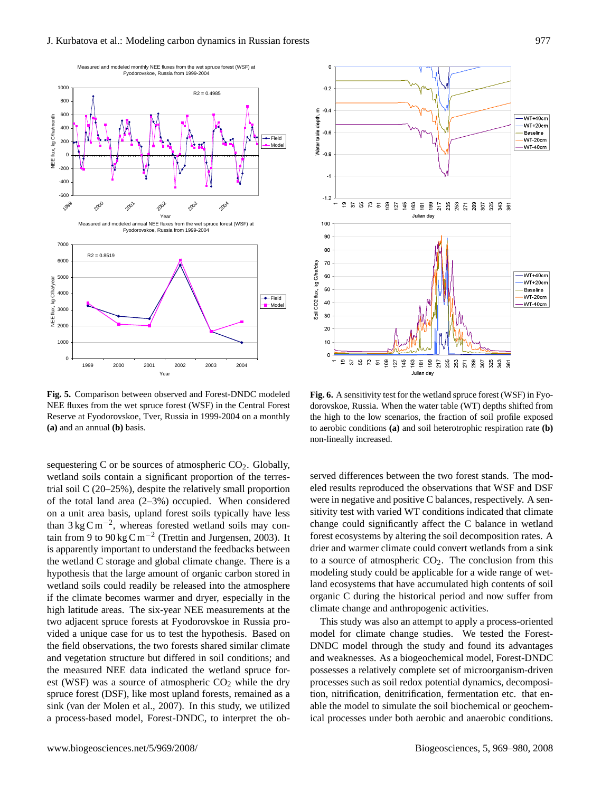

**Fig. 5.** Comparison between observed and Forest-DNDC modeled NEE fluxes from the wet spruce forest (WSF) in the Central Forest Reserve at Fyodorovskoe, Tver, Russia in 1999-2004 on a monthly **(a)** and an annual **(b)** basis.

sequestering C or be sources of atmospheric  $CO<sub>2</sub>$ . Globally, wetland soils contain a significant proportion of the terrestrial soil C (20–25%), despite the relatively small proportion of the total land area (2–3%) occupied. When considered on a unit area basis, upland forest soils typically have less than  $3 \text{ kg C m}^{-2}$ , whereas forested wetland soils may contain from 9 to  $90 \text{ kg C m}^{-2}$  (Trettin and Jurgensen, 2003). It is apparently important to understand the feedbacks between the wetland C storage and global climate change. There is a hypothesis that the large amount of organic carbon stored in wetland soils could readily be released into the atmosphere if the climate becomes warmer and dryer, especially in the high latitude areas. The six-year NEE measurements at the two adjacent spruce forests at Fyodorovskoe in Russia provided a unique case for us to test the hypothesis. Based on the field observations, the two forests shared similar climate and vegetation structure but differed in soil conditions; and the measured NEE data indicated the wetland spruce forest (WSF) was a source of atmospheric  $CO<sub>2</sub>$  while the dry spruce forest (DSF), like most upland forests, remained as a sink (van der Molen et al., 2007). In this study, we utilized a process-based model, Forest-DNDC, to interpret the ob-



**Fig. 6.** A sensitivity test for the wetland spruce forest (WSF) in Fyodorovskoe, Russia. When the water table (WT) depths shifted from the high to the low scenarios, the fraction of soil profile exposed to aerobic conditions **(a)** and soil heterotrophic respiration rate **(b)** non-lineally increased.

served differences between the two forest stands. The modeled results reproduced the observations that WSF and DSF were in negative and positive C balances, respectively. A sensitivity test with varied WT conditions indicated that climate change could significantly affect the C balance in wetland forest ecosystems by altering the soil decomposition rates. A drier and warmer climate could convert wetlands from a sink to a source of atmospheric  $CO<sub>2</sub>$ . The conclusion from this modeling study could be applicable for a wide range of wetland ecosystems that have accumulated high contents of soil organic C during the historical period and now suffer from climate change and anthropogenic activities.

This study was also an attempt to apply a process-oriented model for climate change studies. We tested the Forest-DNDC model through the study and found its advantages and weaknesses. As a biogeochemical model, Forest-DNDC possesses a relatively complete set of microorganism-driven processes such as soil redox potential dynamics, decomposition, nitrification, denitrification, fermentation etc. that enable the model to simulate the soil biochemical or geochemical processes under both aerobic and anaerobic conditions.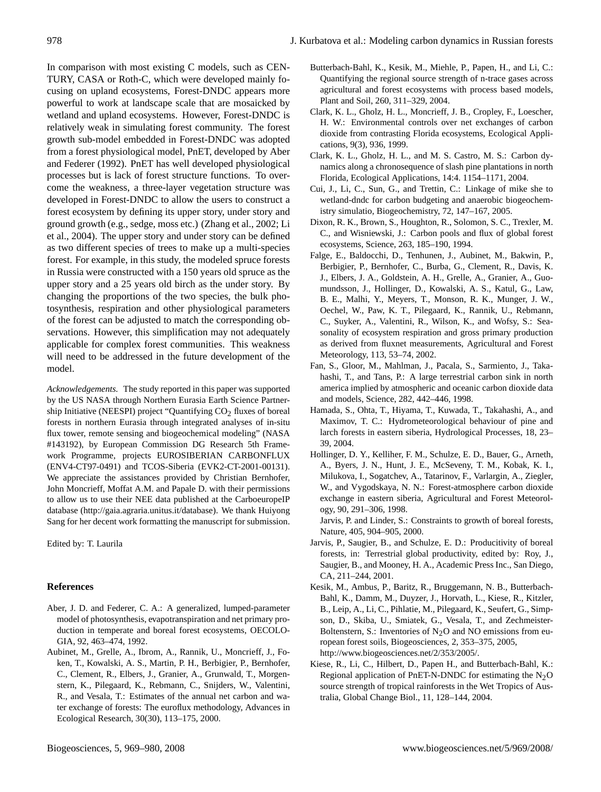In comparison with most existing C models, such as CEN-TURY, CASA or Roth-C, which were developed mainly focusing on upland ecosystems, Forest-DNDC appears more powerful to work at landscape scale that are mosaicked by wetland and upland ecosystems. However, Forest-DNDC is relatively weak in simulating forest community. The forest growth sub-model embedded in Forest-DNDC was adopted from a forest physiological model, PnET, developed by Aber and Federer (1992). PnET has well developed physiological processes but is lack of forest structure functions. To overcome the weakness, a three-layer vegetation structure was developed in Forest-DNDC to allow the users to construct a forest ecosystem by defining its upper story, under story and ground growth (e.g., sedge, moss etc.) (Zhang et al., 2002; Li et al., 2004). The upper story and under story can be defined as two different species of trees to make up a multi-species forest. For example, in this study, the modeled spruce forests in Russia were constructed with a 150 years old spruce as the upper story and a 25 years old birch as the under story. By changing the proportions of the two species, the bulk photosynthesis, respiration and other physiological parameters of the forest can be adjusted to match the corresponding observations. However, this simplification may not adequately applicable for complex forest communities. This weakness will need to be addressed in the future development of the model.

*Acknowledgements.* The study reported in this paper was supported by the US NASA through Northern Eurasia Earth Science Partnership Initiative (NEESPI) project "Quantifying  $CO<sub>2</sub>$  fluxes of boreal forests in northern Eurasia through integrated analyses of in-situ flux tower, remote sensing and biogeochemical modeling" (NASA #143192), by European Commission DG Research 5th Framework Programme, projects EUROSIBERIAN CARBONFLUX (ENV4-CT97-0491) and TCOS-Siberia (EVK2-CT-2001-00131). We appreciate the assistances provided by Christian Bernhofer, John Moncrieff, Moffat A.M. and Papale D. with their permissions to allow us to use their NEE data published at the CarboeuropeIP database [\(http://gaia.agraria.unitus.it/database\)](http://gaia.agraria.unitus.it/database). We thank Huiyong Sang for her decent work formatting the manuscript for submission.

Edited by: T. Laurila

#### **References**

- Aber, J. D. and Federer, C. A.: A generalized, lumped-parameter model of photosynthesis, evapotranspiration and net primary production in temperate and boreal forest ecosystems, OECOLO-GIA, 92, 463–474, 1992.
- Aubinet, M., Grelle, A., Ibrom, A., Rannik, U., Moncrieff, J., Foken, T., Kowalski, A. S., Martin, P. H., Berbigier, P., Bernhofer, C., Clement, R., Elbers, J., Granier, A., Grunwald, T., Morgenstern, K., Pilegaard, K., Rebmann, C., Snijders, W., Valentini, R., and Vesala, T.: Estimates of the annual net carbon and water exchange of forests: The euroflux methodology, Advances in Ecological Research, 30(30), 113–175, 2000.
- Butterbach-Bahl, K., Kesik, M., Miehle, P., Papen, H., and Li, C.: Quantifying the regional source strength of n-trace gases across agricultural and forest ecosystems with process based models, Plant and Soil, 260, 311–329, 2004.
- Clark, K. L., Gholz, H. L., Moncrieff, J. B., Cropley, F., Loescher, H. W.: Environmental controls over net exchanges of carbon dioxide from contrasting Florida ecosystems, Ecological Applications, 9(3), 936, 1999.
- Clark, K. L., Gholz, H. L., and M. S. Castro, M. S.: Carbon dynamics along a chronosequence of slash pine plantations in north Florida, Ecological Applications, 14:4. 1154–1171, 2004.
- Cui, J., Li, C., Sun, G., and Trettin, C.: Linkage of mike she to wetland-dndc for carbon budgeting and anaerobic biogeochemistry simulatio, Biogeochemistry, 72, 147–167, 2005.
- Dixon, R. K., Brown, S., Houghton, R., Solomon, S. C., Trexler, M. C., and Wisniewski, J.: Carbon pools and flux of global forest ecosystems, Science, 263, 185–190, 1994.
- Falge, E., Baldocchi, D., Tenhunen, J., Aubinet, M., Bakwin, P., Berbigier, P., Bernhofer, C., Burba, G., Clement, R., Davis, K. J., Elbers, J. A., Goldstein, A. H., Grelle, A., Granier, A., Guomundsson, J., Hollinger, D., Kowalski, A. S., Katul, G., Law, B. E., Malhi, Y., Meyers, T., Monson, R. K., Munger, J. W., Oechel, W., Paw, K. T., Pilegaard, K., Rannik, U., Rebmann, C., Suyker, A., Valentini, R., Wilson, K., and Wofsy, S.: Seasonality of ecosystem respiration and gross primary production as derived from fluxnet measurements, Agricultural and Forest Meteorology, 113, 53–74, 2002.
- Fan, S., Gloor, M., Mahlman, J., Pacala, S., Sarmiento, J., Takahashi, T., and Tans, P.: A large terrestrial carbon sink in north america implied by atmospheric and oceanic carbon dioxide data and models, Science, 282, 442–446, 1998.
- Hamada, S., Ohta, T., Hiyama, T., Kuwada, T., Takahashi, A., and Maximov, T. C.: Hydrometeorological behaviour of pine and larch forests in eastern siberia, Hydrological Processes, 18, 23– 39, 2004.
- Hollinger, D. Y., Kelliher, F. M., Schulze, E. D., Bauer, G., Arneth, A., Byers, J. N., Hunt, J. E., McSeveny, T. M., Kobak, K. I., Milukova, I., Sogatchev, A., Tatarinov, F., Varlargin, A., Ziegler, W., and Vygodskaya, N. N.: Forest-atmosphere carbon dioxide exchange in eastern siberia, Agricultural and Forest Meteorology, 90, 291–306, 1998.

Jarvis, P. and Linder, S.: Constraints to growth of boreal forests, Nature, 405, 904–905, 2000.

- Jarvis, P., Saugier, B., and Schulze, E. D.: Producitivity of boreal forests, in: Terrestrial global productivity, edited by: Roy, J., Saugier, B., and Mooney, H. A., Academic Press Inc., San Diego, CA, 211–244, 2001.
- Kesik, M., Ambus, P., Baritz, R., Bruggemann, N. B., Butterbach-Bahl, K., Damm, M., Duyzer, J., Horvath, L., Kiese, R., Kitzler, B., Leip, A., Li, C., Pihlatie, M., Pilegaard, K., Seufert, G., Simpson, D., Skiba, U., Smiatek, G., Vesala, T., and Zechmeister-Boltenstern, S.: Inventories of  $N<sub>2</sub>O$  and NO emissions from european forest soils, Biogeosciences, 2, 353–375, 2005, [http://www.biogeosciences.net/2/353/2005/.](http://www.biogeosciences.net/2/353/2005/)
- Kiese, R., Li, C., Hilbert, D., Papen H., and Butterbach-Bahl, K.: Regional application of PnET-N-DNDC for estimating the  $N_2O$ source strength of tropical rainforests in the Wet Tropics of Australia, Global Change Biol., 11, 128–144, 2004.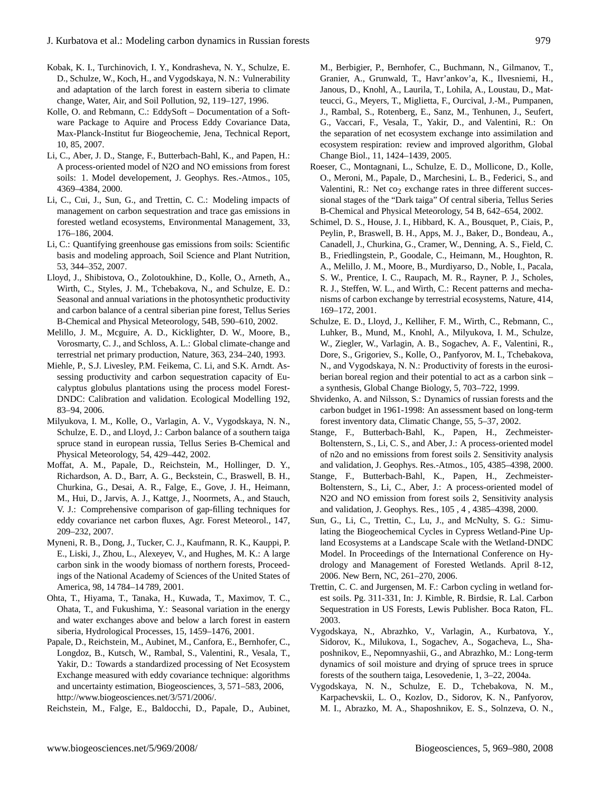- Kobak, K. I., Turchinovich, I. Y., Kondrasheva, N. Y., Schulze, E. D., Schulze, W., Koch, H., and Vygodskaya, N. N.: Vulnerability and adaptation of the larch forest in eastern siberia to climate change, Water, Air, and Soil Pollution, 92, 119–127, 1996.
- Kolle, O. and Rebmann, C.: EddySoft Documentation of a Software Package to Aquire and Process Eddy Covariance Data, Max-Planck-Institut fur Biogeochemie, Jena, Technical Report, 10, 85, 2007.
- Li, C., Aber, J. D., Stange, F., Butterbach-Bahl, K., and Papen, H.: A process-oriented model of N2O and NO emissions from forest soils: 1. Model developement, J. Geophys. Res.-Atmos., 105, 4369–4384, 2000.
- Li, C., Cui, J., Sun, G., and Trettin, C. C.: Modeling impacts of management on carbon sequestration and trace gas emissions in forested wetland ecosystems, Environmental Management, 33, 176–186, 2004.
- Li, C.: Quantifying greenhouse gas emissions from soils: Scientific basis and modeling approach, Soil Science and Plant Nutrition, 53, 344–352, 2007.
- Lloyd, J., Shibistova, O., Zolotoukhine, D., Kolle, O., Arneth, A., Wirth, C., Styles, J. M., Tchebakova, N., and Schulze, E. D.: Seasonal and annual variations in the photosynthetic productivity and carbon balance of a central siberian pine forest, Tellus Series B-Chemical and Physical Meteorology, 54B, 590–610, 2002.
- Melillo, J. M., Mcguire, A. D., Kicklighter, D. W., Moore, B., Vorosmarty, C. J., and Schloss, A. L.: Global climate-change and terrestrial net primary production, Nature, 363, 234–240, 1993.
- Miehle, P., S.J. Livesley, P.M. Feikema, C. Li, and S.K. Arndt. Assessing productivity and carbon sequestration capacity of Eucalyptus globulus plantations using the process model Forest-DNDC: Calibration and validation. Ecological Modelling 192, 83–94, 2006.
- Milyukova, I. M., Kolle, O., Varlagin, A. V., Vygodskaya, N. N., Schulze, E. D., and Lloyd, J.: Carbon balance of a southern taiga spruce stand in european russia, Tellus Series B-Chemical and Physical Meteorology, 54, 429–442, 2002.
- Moffat, A. M., Papale, D., Reichstein, M., Hollinger, D. Y., Richardson, A. D., Barr, A. G., Beckstein, C., Braswell, B. H., Churkina, G., Desai, A. R., Falge, E., Gove, J. H., Heimann, M., Hui, D., Jarvis, A. J., Kattge, J., Noormets, A., and Stauch, V. J.: Comprehensive comparison of gap-filling techniques for eddy covariance net carbon fluxes, Agr. Forest Meteorol., 147, 209–232, 2007.
- Myneni, R. B., Dong, J., Tucker, C. J., Kaufmann, R. K., Kauppi, P. E., Liski, J., Zhou, L., Alexeyev, V., and Hughes, M. K.: A large carbon sink in the woody biomass of northern forests, Proceedings of the National Academy of Sciences of the United States of America, 98, 14 784–14 789, 2001.
- Ohta, T., Hiyama, T., Tanaka, H., Kuwada, T., Maximov, T. C., Ohata, T., and Fukushima, Y.: Seasonal variation in the energy and water exchanges above and below a larch forest in eastern siberia, Hydrological Processes, 15, 1459–1476, 2001.
- Papale, D., Reichstein, M., Aubinet, M., Canfora, E., Bernhofer, C., Longdoz, B., Kutsch, W., Rambal, S., Valentini, R., Vesala, T., Yakir, D.: Towards a standardized processing of Net Ecosystem Exchange measured with eddy covariance technique: algorithms and uncertainty estimation, Biogeosciences, 3, 571–583, 2006, [http://www.biogeosciences.net/3/571/2006/.](http://www.biogeosciences.net/3/571/2006/)
- Reichstein, M., Falge, E., Baldocchi, D., Papale, D., Aubinet,

M., Berbigier, P., Bernhofer, C., Buchmann, N., Gilmanov, T., Granier, A., Grunwald, T., Havr'ankov'a, K., Ilvesniemi, H., Janous, D., Knohl, A., Laurila, T., Lohila, A., Loustau, D., Matteucci, G., Meyers, T., Miglietta, F., Ourcival, J.-M., Pumpanen, J., Rambal, S., Rotenberg, E., Sanz, M., Tenhunen, J., Seufert, G., Vaccari, F., Vesala, T., Yakir, D., and Valentini, R.: On the separation of net ecosystem exchange into assimilation and ecosystem respiration: review and improved algorithm, Global Change Biol., 11, 1424–1439, 2005.

- Roeser, C., Montagnani, L., Schulze, E. D., Mollicone, D., Kolle, O., Meroni, M., Papale, D., Marchesini, L. B., Federici, S., and Valentini, R.: Net  $co<sub>2</sub>$  exchange rates in three different successional stages of the "Dark taiga" Of central siberia, Tellus Series B-Chemical and Physical Meteorology, 54 B, 642–654, 2002.
- Schimel, D. S., House, J. I., Hibbard, K. A., Bousquet, P., Ciais, P., Peylin, P., Braswell, B. H., Apps, M. J., Baker, D., Bondeau, A., Canadell, J., Churkina, G., Cramer, W., Denning, A. S., Field, C. B., Friedlingstein, P., Goodale, C., Heimann, M., Houghton, R. A., Melillo, J. M., Moore, B., Murdiyarso, D., Noble, I., Pacala, S. W., Prentice, I. C., Raupach, M. R., Rayner, P. J., Scholes, R. J., Steffen, W. L., and Wirth, C.: Recent patterns and mechanisms of carbon exchange by terrestrial ecosystems, Nature, 414, 169–172, 2001.
- Schulze, E. D., Lloyd, J., Kelliher, F. M., Wirth, C., Rebmann, C., Luhker, B., Mund, M., Knohl, A., Milyukova, I. M., Schulze, W., Ziegler, W., Varlagin, A. B., Sogachev, A. F., Valentini, R., Dore, S., Grigoriev, S., Kolle, O., Panfyorov, M. I., Tchebakova, N., and Vygodskaya, N. N.: Productivity of forests in the eurosiberian boreal region and their potential to act as a carbon sink – a synthesis, Global Change Biology, 5, 703–722, 1999.
- Shvidenko, A. and Nilsson, S.: Dynamics of russian forests and the carbon budget in 1961-1998: An assessment based on long-term forest inventory data, Climatic Change, 55, 5–37, 2002.
- Stange, F., Butterbach-Bahl, K., Papen, H., Zechmeister-Boltenstern, S., Li, C. S., and Aber, J.: A process-oriented model of n2o and no emissions from forest soils 2. Sensitivity analysis and validation, J. Geophys. Res.-Atmos., 105, 4385–4398, 2000.
- Stange, F., Butterbach-Bahl, K., Papen, H., Zechmeister-Boltenstern, S., Li, C., Aber, J.: A process-oriented model of N2O and NO emission from forest soils 2, Sensitivity analysis and validation, J. Geophys. Res., 105 , 4 , 4385–4398, 2000.
- Sun, G., Li, C., Trettin, C., Lu, J., and McNulty, S. G.: Simulating the Biogeochemical Cycles in Cypress Wetland-Pine Upland Ecosystems at a Landscape Scale with the Wetland-DNDC Model. In Proceedings of the International Conference on Hydrology and Management of Forested Wetlands. April 8-12, 2006. New Bern, NC, 261–270, 2006.
- Trettin, C. C. and Jurgensen, M. F.: Carbon cycling in wetland forest soils. Pg. 311-331, In: J. Kimble, R. Birdsie, R. Lal. Carbon Sequestration in US Forests, Lewis Publisher. Boca Raton, FL. 2003.
- Vygodskaya, N., Abrazhko, V., Varlagin, A., Kurbatova, Y., Sidorov, K., Milukova, I., Sogachev, A., Sogacheva, L., Shaposhnikov, E., Nepomnyashii, G., and Abrazhko, M.: Long-term dynamics of soil moisture and drying of spruce trees in spruce forests of the southern taiga, Lesovedenie, 1, 3–22, 2004a.
- Vygodskaya, N. N., Schulze, E. D., Tchebakova, N. M., Karpachevskii, L. O., Kozlov, D., Sidorov, K. N., Panfyorov, M. I., Abrazko, M. A., Shaposhnikov, E. S., Solnzeva, O. N.,